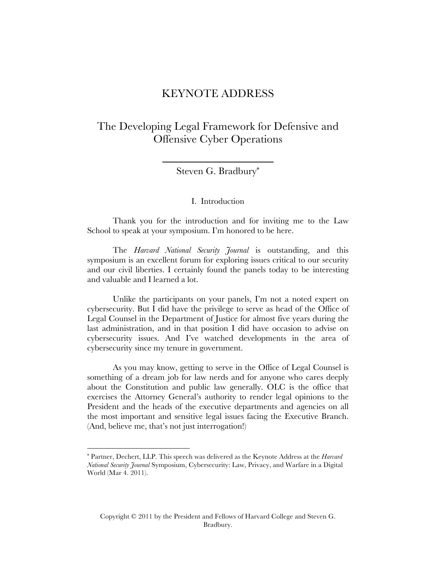# KEYNOTE ADDRESS

The Developing Legal Framework for Defensive and Offensive Cyber Operations

Steven G. Bradbury\*

I. Introduction

Thank you for the introduction and for inviting me to the Law School to speak at your symposium. I'm honored to be here.

The *Harvard National Security Journal* is outstanding, and this symposium is an excellent forum for exploring issues critical to our security and our civil liberties. I certainly found the panels today to be interesting and valuable and I learned a lot.

Unlike the participants on your panels, I'm not a noted expert on cybersecurity. But I did have the privilege to serve as head of the Office of Legal Counsel in the Department of Justice for almost five years during the last administration, and in that position I did have occasion to advise on cybersecurity issues. And I've watched developments in the area of cybersecurity since my tenure in government.

As you may know, getting to serve in the Office of Legal Counsel is something of a dream job for law nerds and for anyone who cares deeply about the Constitution and public law generally. OLC is the office that exercises the Attorney General's authority to render legal opinions to the President and the heads of the executive departments and agencies on all the most important and sensitive legal issues facing the Executive Branch. (And, believe me, that's not just interrogation!)

<sup>\*</sup> Partner, Dechert, LLP. This speech was delivered as the Keynote Address at the *Harvard National Security Journal* Symposium, Cybersecurity: Law, Privacy, and Warfare in a Digital World (Mar 4. 2011).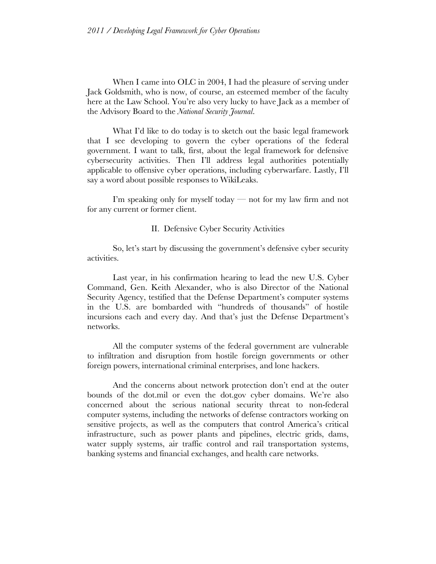When I came into OLC in 2004, I had the pleasure of serving under Jack Goldsmith, who is now, of course, an esteemed member of the faculty here at the Law School. You're also very lucky to have Jack as a member of the Advisory Board to the *National Security Journal*.

What I'd like to do today is to sketch out the basic legal framework that I see developing to govern the cyber operations of the federal government. I want to talk, first, about the legal framework for defensive cybersecurity activities. Then I'll address legal authorities potentially applicable to offensive cyber operations, including cyberwarfare. Lastly, I'll say a word about possible responses to WikiLeaks.

I'm speaking only for myself today — not for my law firm and not for any current or former client.

### II. Defensive Cyber Security Activities

So, let's start by discussing the government's defensive cyber security activities.

Last year, in his confirmation hearing to lead the new U.S. Cyber Command, Gen. Keith Alexander, who is also Director of the National Security Agency, testified that the Defense Department's computer systems in the U.S. are bombarded with "hundreds of thousands" of hostile incursions each and every day. And that's just the Defense Department's networks.

All the computer systems of the federal government are vulnerable to infiltration and disruption from hostile foreign governments or other foreign powers, international criminal enterprises, and lone hackers.

And the concerns about network protection don't end at the outer bounds of the dot.mil or even the dot.gov cyber domains. We're also concerned about the serious national security threat to non-federal computer systems, including the networks of defense contractors working on sensitive projects, as well as the computers that control America's critical infrastructure, such as power plants and pipelines, electric grids, dams, water supply systems, air traffic control and rail transportation systems, banking systems and financial exchanges, and health care networks.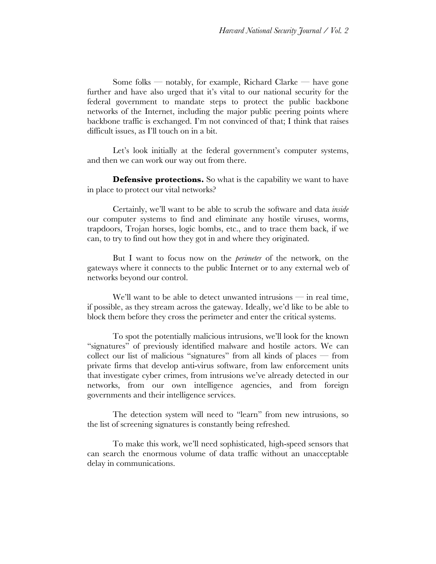Some folks — notably, for example, Richard Clarke — have gone further and have also urged that it's vital to our national security for the federal government to mandate steps to protect the public backbone networks of the Internet, including the major public peering points where backbone traffic is exchanged. I'm not convinced of that; I think that raises difficult issues, as I'll touch on in a bit.

Let's look initially at the federal government's computer systems, and then we can work our way out from there.

**Defensive protections.** So what is the capability we want to have in place to protect our vital networks?

Certainly, we'll want to be able to scrub the software and data *inside* our computer systems to find and eliminate any hostile viruses, worms, trapdoors, Trojan horses, logic bombs, etc., and to trace them back, if we can, to try to find out how they got in and where they originated.

But I want to focus now on the *perimeter* of the network, on the gateways where it connects to the public Internet or to any external web of networks beyond our control.

We'll want to be able to detect unwanted intrusions — in real time, if possible, as they stream across the gateway. Ideally, we'd like to be able to block them before they cross the perimeter and enter the critical systems.

To spot the potentially malicious intrusions, we'll look for the known "signatures" of previously identified malware and hostile actors. We can collect our list of malicious "signatures" from all kinds of places — from private firms that develop anti-virus software, from law enforcement units that investigate cyber crimes, from intrusions we've already detected in our networks, from our own intelligence agencies, and from foreign governments and their intelligence services.

The detection system will need to "learn" from new intrusions, so the list of screening signatures is constantly being refreshed.

To make this work, we'll need sophisticated, high-speed sensors that can search the enormous volume of data traffic without an unacceptable delay in communications.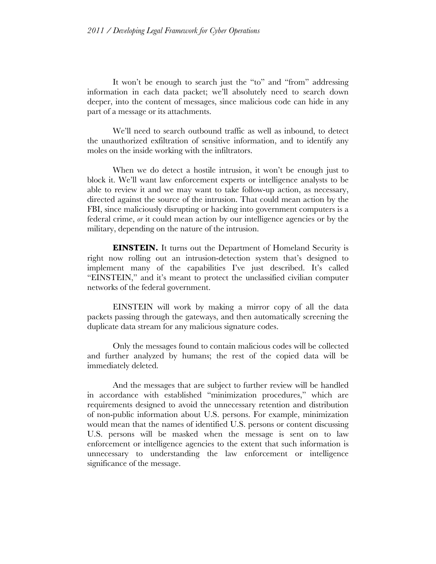It won't be enough to search just the "to" and "from" addressing information in each data packet; we'll absolutely need to search down deeper, into the content of messages, since malicious code can hide in any part of a message or its attachments.

We'll need to search outbound traffic as well as inbound, to detect the unauthorized exfiltration of sensitive information, and to identify any moles on the inside working with the infiltrators.

When we do detect a hostile intrusion, it won't be enough just to block it. We'll want law enforcement experts or intelligence analysts to be able to review it and we may want to take follow-up action, as necessary, directed against the source of the intrusion. That could mean action by the FBI, since maliciously disrupting or hacking into government computers is a federal crime, *or* it could mean action by our intelligence agencies or by the military, depending on the nature of the intrusion.

**EINSTEIN.** It turns out the Department of Homeland Security is right now rolling out an intrusion-detection system that's designed to implement many of the capabilities I've just described. It's called "EINSTEIN," and it's meant to protect the unclassified civilian computer networks of the federal government.

EINSTEIN will work by making a mirror copy of all the data packets passing through the gateways, and then automatically screening the duplicate data stream for any malicious signature codes.

Only the messages found to contain malicious codes will be collected and further analyzed by humans; the rest of the copied data will be immediately deleted.

And the messages that are subject to further review will be handled in accordance with established "minimization procedures," which are requirements designed to avoid the unnecessary retention and distribution of non-public information about U.S. persons. For example, minimization would mean that the names of identified U.S. persons or content discussing U.S. persons will be masked when the message is sent on to law enforcement or intelligence agencies to the extent that such information is unnecessary to understanding the law enforcement or intelligence significance of the message.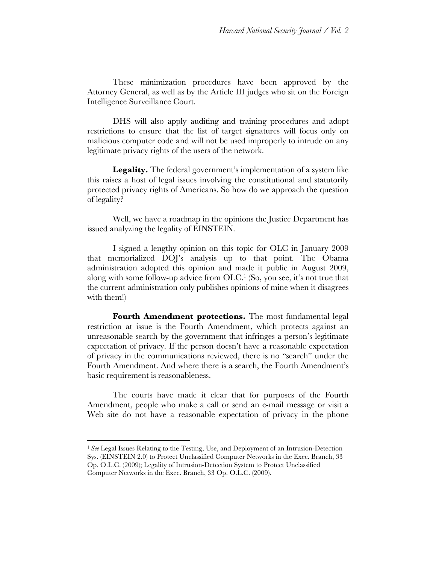These minimization procedures have been approved by the Attorney General, as well as by the Article III judges who sit on the Foreign Intelligence Surveillance Court.

DHS will also apply auditing and training procedures and adopt restrictions to ensure that the list of target signatures will focus only on malicious computer code and will not be used improperly to intrude on any legitimate privacy rights of the users of the network.

Legality. The federal government's implementation of a system like this raises a host of legal issues involving the constitutional and statutorily protected privacy rights of Americans. So how do we approach the question of legality?

Well, we have a roadmap in the opinions the Justice Department has issued analyzing the legality of EINSTEIN.

I signed a lengthy opinion on this topic for OLC in January 2009 that memorialized DOJ's analysis up to that point. The Obama administration adopted this opinion and made it public in August 2009, along with some follow-up advice from  $OLC<sup>1</sup>$  (So, you see, it's not true that the current administration only publishes opinions of mine when it disagrees with them!)

Fourth Amendment protections. The most fundamental legal restriction at issue is the Fourth Amendment, which protects against an unreasonable search by the government that infringes a person's legitimate expectation of privacy. If the person doesn't have a reasonable expectation of privacy in the communications reviewed, there is no "search" under the Fourth Amendment. And where there is a search, the Fourth Amendment's basic requirement is reasonableness.

The courts have made it clear that for purposes of the Fourth Amendment, people who make a call or send an e-mail message or visit a Web site do not have a reasonable expectation of privacy in the phone

<sup>1</sup> See Legal Issues Relating to the Testing, Use, and Deployment of an Intrusion-Detection Sys. (EINSTEIN 2.0) to Protect Unclassified Computer Networks in the Exec. Branch, 33 Op. O.L.C. (2009); Legality of Intrusion-Detection System to Protect Unclassified Computer Networks in the Exec. Branch, 33 Op. O.L.C. (2009).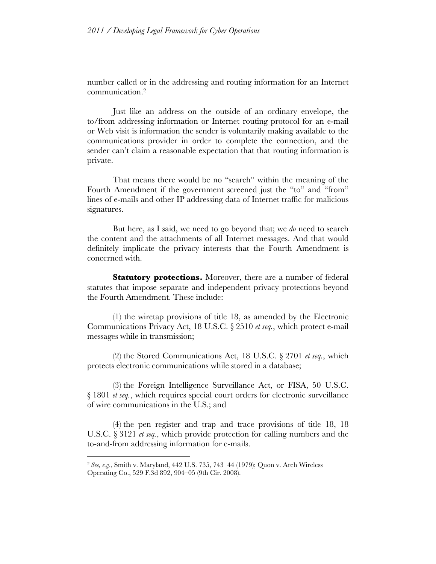number called or in the addressing and routing information for an Internet communication.2

Just like an address on the outside of an ordinary envelope, the to/from addressing information or Internet routing protocol for an e-mail or Web visit is information the sender is voluntarily making available to the communications provider in order to complete the connection, and the sender can't claim a reasonable expectation that that routing information is private.

That means there would be no "search" within the meaning of the Fourth Amendment if the government screened just the "to" and "from" lines of e-mails and other IP addressing data of Internet traffic for malicious signatures.

But here, as I said, we need to go beyond that; we *do* need to search the content and the attachments of all Internet messages. And that would definitely implicate the privacy interests that the Fourth Amendment is concerned with.

**Statutory protections.** Moreover, there are a number of federal statutes that impose separate and independent privacy protections beyond the Fourth Amendment. These include:

(1) the wiretap provisions of title 18, as amended by the Electronic Communications Privacy Act, 18 U.S.C. § 2510 *et seq.*, which protect e-mail messages while in transmission;

(2) the Stored Communications Act, 18 U.S.C. § 2701 *et seq.*, which protects electronic communications while stored in a database;

(3) the Foreign Intelligence Surveillance Act, or FISA, 50 U.S.C. § 1801 *et seq.*, which requires special court orders for electronic surveillance of wire communications in the U.S.; and

(4) the pen register and trap and trace provisions of title 18, 18 U.S.C. § 3121 *et seq.*, which provide protection for calling numbers and the to-and-from addressing information for e-mails.

<sup>2</sup> *See, e.g.*, Smith v. Maryland, 442 U.S. 735, 743–44 (1979); Quon v. Arch Wireless Operating Co., 529 F.3d 892, 904–05 (9th Cir. 2008).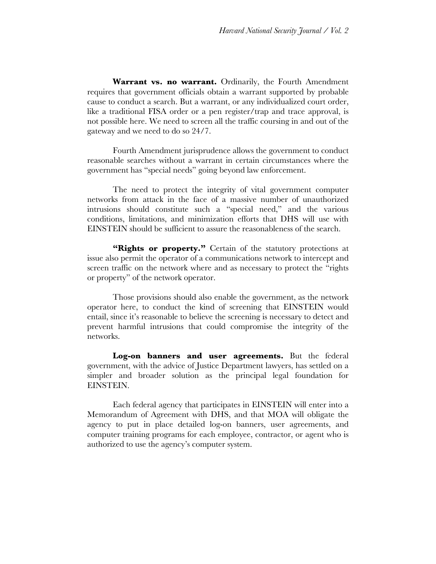**Warrant vs. no warrant.** Ordinarily, the Fourth Amendment requires that government officials obtain a warrant supported by probable cause to conduct a search. But a warrant, or any individualized court order, like a traditional FISA order or a pen register/trap and trace approval, is not possible here. We need to screen all the traffic coursing in and out of the gateway and we need to do so 24/7.

Fourth Amendment jurisprudence allows the government to conduct reasonable searches without a warrant in certain circumstances where the government has "special needs" going beyond law enforcement.

The need to protect the integrity of vital government computer networks from attack in the face of a massive number of unauthorized intrusions should constitute such a "special need," and the various conditions, limitations, and minimization efforts that DHS will use with EINSTEIN should be sufficient to assure the reasonableness of the search.

"Rights or **property.**" Certain of the statutory protections at issue also permit the operator of a communications network to intercept and screen traffic on the network where and as necessary to protect the "rights or property" of the network operator.

Those provisions should also enable the government, as the network operator here, to conduct the kind of screening that EINSTEIN would entail, since it's reasonable to believe the screening is necessary to detect and prevent harmful intrusions that could compromise the integrity of the networks.

**Log-on banners and user agreements.** But the federal government, with the advice of Justice Department lawyers, has settled on a simpler and broader solution as the principal legal foundation for EINSTEIN.

Each federal agency that participates in EINSTEIN will enter into a Memorandum of Agreement with DHS, and that MOA will obligate the agency to put in place detailed log-on banners, user agreements, and computer training programs for each employee, contractor, or agent who is authorized to use the agency's computer system.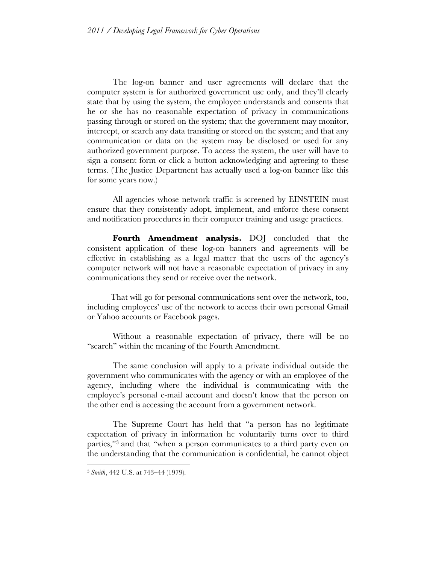The log-on banner and user agreements will declare that the computer system is for authorized government use only, and they'll clearly state that by using the system, the employee understands and consents that he or she has no reasonable expectation of privacy in communications passing through or stored on the system; that the government may monitor, intercept, or search any data transiting or stored on the system; and that any communication or data on the system may be disclosed or used for any authorized government purpose. To access the system, the user will have to sign a consent form or click a button acknowledging and agreeing to these terms. (The Justice Department has actually used a log-on banner like this for some years now.)

All agencies whose network traffic is screened by EINSTEIN must ensure that they consistently adopt, implement, and enforce these consent and notification procedures in their computer training and usage practices.

**Fourth Amendment analysis.** DOJ concluded that the consistent application of these log-on banners and agreements will be effective in establishing as a legal matter that the users of the agency's computer network will not have a reasonable expectation of privacy in any communications they send or receive over the network.

That will go for personal communications sent over the network, too, including employees' use of the network to access their own personal Gmail or Yahoo accounts or Facebook pages.

Without a reasonable expectation of privacy, there will be no "search" within the meaning of the Fourth Amendment.

The same conclusion will apply to a private individual outside the government who communicates with the agency or with an employee of the agency, including where the individual is communicating with the employee's personal e-mail account and doesn't know that the person on the other end is accessing the account from a government network.

The Supreme Court has held that "a person has no legitimate expectation of privacy in information he voluntarily turns over to third parties,"3 and that "when a person communicates to a third party even on the understanding that the communication is confidential, he cannot object

<sup>3</sup> *Smith*, 442 U.S. at 743–44 (1979).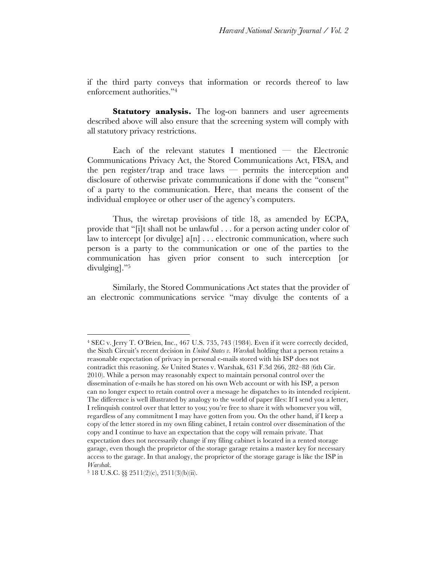if the third party conveys that information or records thereof to law enforcement authorities."4

**Statutory analysis.** The log-on banners and user agreements described above will also ensure that the screening system will comply with all statutory privacy restrictions.

Each of the relevant statutes I mentioned — the Electronic Communications Privacy Act, the Stored Communications Act, FISA, and the pen register/trap and trace laws — permits the interception and disclosure of otherwise private communications if done with the "consent" of a party to the communication. Here, that means the consent of the individual employee or other user of the agency's computers.

Thus, the wiretap provisions of title 18, as amended by ECPA, provide that "[i]t shall not be unlawful . . . for a person acting under color of law to intercept [or divulge]  $a[n]$  . . . electronic communication, where such person is a party to the communication or one of the parties to the communication has given prior consent to such interception [or divulging]."5

Similarly, the Stored Communications Act states that the provider of an electronic communications service "may divulge the contents of a

<sup>4</sup> SEC v. Jerry T. O'Brien, Inc., 467 U.S. 735, 743 (1984). Even if it were correctly decided, the Sixth Circuit's recent decision in *United States v. Warshak* holding that a person retains a reasonable expectation of privacy in personal e-mails stored with his ISP does not contradict this reasoning. *See* United States v. Warshak, 631 F.3d 266, 282–88 (6th Cir. 2010). While a person may reasonably expect to maintain personal control over the dissemination of e-mails he has stored on his own Web account or with his ISP, a person can no longer expect to retain control over a message he dispatches to its intended recipient. The difference is well illustrated by analogy to the world of paper files: If I send you a letter, I relinquish control over that letter to you; you're free to share it with whomever you will, regardless of any commitment I may have gotten from you. On the other hand, if I keep a copy of the letter stored in my own filing cabinet, I retain control over dissemination of the copy and I continue to have an expectation that the copy will remain private. That expectation does not necessarily change if my filing cabinet is located in a rented storage garage, even though the proprietor of the storage garage retains a master key for necessary access to the garage. In that analogy, the proprietor of the storage garage is like the ISP in *Warshak*.

<sup>5</sup> 18 U.S.C. §§ 2511(2)(c), 2511(3)(b)(ii).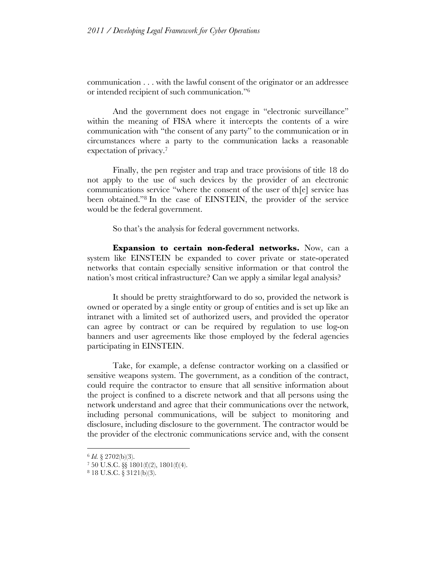communication . . . with the lawful consent of the originator or an addressee or intended recipient of such communication."6

And the government does not engage in "electronic surveillance" within the meaning of FISA where it intercepts the contents of a wire communication with "the consent of any party" to the communication or in circumstances where a party to the communication lacks a reasonable expectation of privacy.7

Finally, the pen register and trap and trace provisions of title 18 do not apply to the use of such devices by the provider of an electronic communications service "where the consent of the user of th[e] service has been obtained."8 In the case of EINSTEIN, the provider of the service would be the federal government.

So that's the analysis for federal government networks.

**Expansion to certain non-federal networks.** Now, can a system like EINSTEIN be expanded to cover private or state-operated networks that contain especially sensitive information or that control the nation's most critical infrastructure? Can we apply a similar legal analysis?

It should be pretty straightforward to do so, provided the network is owned or operated by a single entity or group of entities and is set up like an intranet with a limited set of authorized users, and provided the operator can agree by contract or can be required by regulation to use log-on banners and user agreements like those employed by the federal agencies participating in EINSTEIN.

Take, for example, a defense contractor working on a classified or sensitive weapons system. The government, as a condition of the contract, could require the contractor to ensure that all sensitive information about the project is confined to a discrete network and that all persons using the network understand and agree that their communications over the network, including personal communications, will be subject to monitoring and disclosure, including disclosure to the government. The contractor would be the provider of the electronic communications service and, with the consent

<sup>6</sup> *Id.* § 2702(b)(3).

<sup>7</sup> 50 U.S.C. §§ 1801(f)(2), 1801(f)(4).

<sup>8</sup> 18 U.S.C. § 3121(b)(3).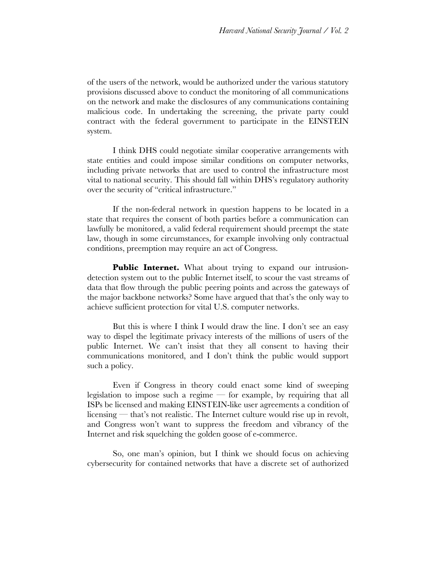of the users of the network, would be authorized under the various statutory provisions discussed above to conduct the monitoring of all communications on the network and make the disclosures of any communications containing malicious code. In undertaking the screening, the private party could contract with the federal government to participate in the EINSTEIN system.

I think DHS could negotiate similar cooperative arrangements with state entities and could impose similar conditions on computer networks, including private networks that are used to control the infrastructure most vital to national security. This should fall within DHS's regulatory authority over the security of "critical infrastructure."

If the non-federal network in question happens to be located in a state that requires the consent of both parties before a communication can lawfully be monitored, a valid federal requirement should preempt the state law, though in some circumstances, for example involving only contractual conditions, preemption may require an act of Congress.

**Public Internet.** What about trying to expand our intrusiondetection system out to the public Internet itself, to scour the vast streams of data that flow through the public peering points and across the gateways of the major backbone networks? Some have argued that that's the only way to achieve sufficient protection for vital U.S. computer networks.

But this is where I think I would draw the line. I don't see an easy way to dispel the legitimate privacy interests of the millions of users of the public Internet. We can't insist that they all consent to having their communications monitored, and I don't think the public would support such a policy.

Even if Congress in theory could enact some kind of sweeping legislation to impose such a regime — for example, by requiring that all ISPs be licensed and making EINSTEIN-like user agreements a condition of licensing — that's not realistic. The Internet culture would rise up in revolt, and Congress won't want to suppress the freedom and vibrancy of the Internet and risk squelching the golden goose of e-commerce.

So, one man's opinion, but I think we should focus on achieving cybersecurity for contained networks that have a discrete set of authorized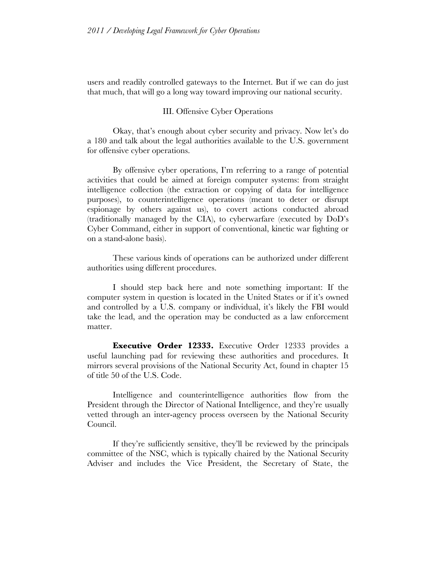users and readily controlled gateways to the Internet. But if we can do just that much, that will go a long way toward improving our national security.

### III. Offensive Cyber Operations

Okay, that's enough about cyber security and privacy. Now let's do a 180 and talk about the legal authorities available to the U.S. government for offensive cyber operations.

By offensive cyber operations, I'm referring to a range of potential activities that could be aimed at foreign computer systems: from straight intelligence collection (the extraction or copying of data for intelligence purposes), to counterintelligence operations (meant to deter or disrupt espionage by others against us), to covert actions conducted abroad (traditionally managed by the CIA), to cyberwarfare (executed by DoD's Cyber Command, either in support of conventional, kinetic war fighting or on a stand-alone basis).

These various kinds of operations can be authorized under different authorities using different procedures.

I should step back here and note something important: If the computer system in question is located in the United States or if it's owned and controlled by a U.S. company or individual, it's likely the FBI would take the lead, and the operation may be conducted as a law enforcement matter.

**Executive Order 12333.** Executive Order 12333 provides a useful launching pad for reviewing these authorities and procedures. It mirrors several provisions of the National Security Act, found in chapter 15 of title 50 of the U.S. Code.

Intelligence and counterintelligence authorities flow from the President through the Director of National Intelligence, and they're usually vetted through an inter-agency process overseen by the National Security Council.

If they're sufficiently sensitive, they'll be reviewed by the principals committee of the NSC, which is typically chaired by the National Security Adviser and includes the Vice President, the Secretary of State, the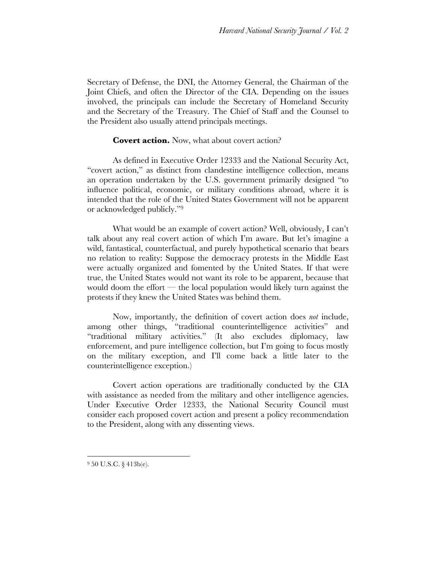Secretary of Defense, the DNI, the Attorney General, the Chairman of the Joint Chiefs, and often the Director of the CIA. Depending on the issues involved, the principals can include the Secretary of Homeland Security and the Secretary of the Treasury. The Chief of Staff and the Counsel to the President also usually attend principals meetings.

## **Covert action.** Now, what about covert action?

As defined in Executive Order 12333 and the National Security Act, "covert action," as distinct from clandestine intelligence collection, means an operation undertaken by the U.S. government primarily designed "to influence political, economic, or military conditions abroad, where it is intended that the role of the United States Government will not be apparent or acknowledged publicly."9

What would be an example of covert action? Well, obviously, I can't talk about any real covert action of which I'm aware. But let's imagine a wild, fantastical, counterfactual, and purely hypothetical scenario that bears no relation to reality: Suppose the democracy protests in the Middle East were actually organized and fomented by the United States. If that were true, the United States would not want its role to be apparent, because that would doom the effort — the local population would likely turn against the protests if they knew the United States was behind them.

Now, importantly, the definition of covert action does *not* include, among other things, "traditional counterintelligence activities" and "traditional military activities." (It also excludes diplomacy, law enforcement, and pure intelligence collection, but I'm going to focus mostly on the military exception, and I'll come back a little later to the counterintelligence exception.)

Covert action operations are traditionally conducted by the CIA with assistance as needed from the military and other intelligence agencies. Under Executive Order 12333, the National Security Council must consider each proposed covert action and present a policy recommendation to the President, along with any dissenting views.

<sup>9 50</sup> U.S.C. § 413b(e).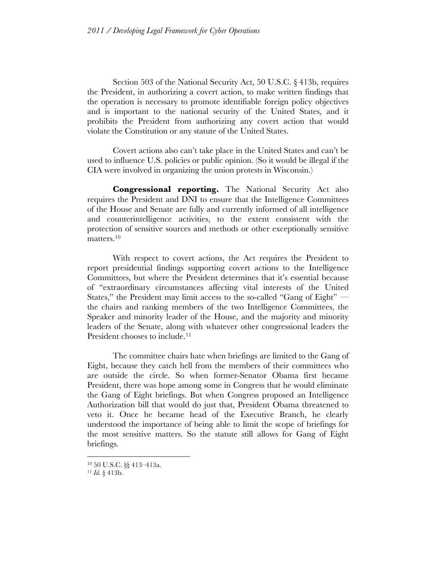Section 503 of the National Security Act, 50 U.S.C. § 413b, requires the President, in authorizing a covert action, to make written findings that the operation is necessary to promote identifiable foreign policy objectives and is important to the national security of the United States, and it prohibits the President from authorizing any covert action that would violate the Constitution or any statute of the United States.

Covert actions also can't take place in the United States and can't be used to influence U.S. policies or public opinion. (So it would be illegal if the CIA were involved in organizing the union protests in Wisconsin.)

**Congressional reporting.** The National Security Act also requires the President and DNI to ensure that the Intelligence Committees of the House and Senate are fully and currently informed of all intelligence and counterintelligence activities, to the extent consistent with the protection of sensitive sources and methods or other exceptionally sensitive matters.10

With respect to covert actions, the Act requires the President to report presidential findings supporting covert actions to the Intelligence Committees, but where the President determines that it's essential because of "extraordinary circumstances affecting vital interests of the United States," the President may limit access to the so-called "Gang of Eight" the chairs and ranking members of the two Intelligence Committees, the Speaker and minority leader of the House, and the majority and minority leaders of the Senate, along with whatever other congressional leaders the President chooses to include.<sup>11</sup>

The committee chairs hate when briefings are limited to the Gang of Eight, because they catch hell from the members of their committees who are outside the circle. So when former-Senator Obama first became President, there was hope among some in Congress that he would eliminate the Gang of Eight briefings. But when Congress proposed an Intelligence Authorization bill that would do just that, President Obama threatened to veto it. Once he became head of the Executive Branch, he clearly understood the importance of being able to limit the scope of briefings for the most sensitive matters. So the statute still allows for Gang of Eight briefings.

<sup>10</sup> 50 U.S.C. §§ 413–413a.

<sup>11</sup> *Id.* § 413b.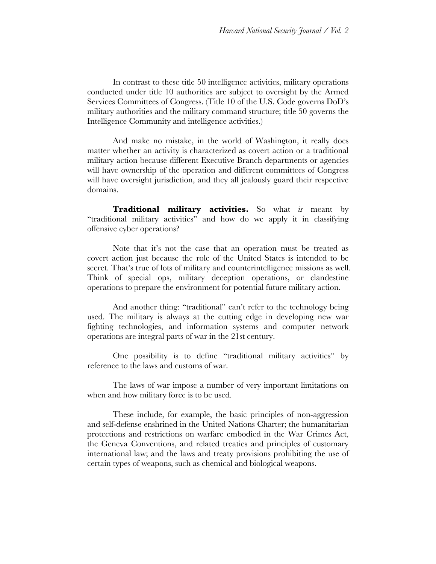In contrast to these title 50 intelligence activities, military operations conducted under title 10 authorities are subject to oversight by the Armed Services Committees of Congress. (Title 10 of the U.S. Code governs DoD's military authorities and the military command structure; title 50 governs the Intelligence Community and intelligence activities.)

And make no mistake, in the world of Washington, it really does matter whether an activity is characterized as covert action or a traditional military action because different Executive Branch departments or agencies will have ownership of the operation and different committees of Congress will have oversight jurisdiction, and they all jealously guard their respective domains.

**Traditional military activities.** So what *is* meant by "traditional military activities" and how do we apply it in classifying offensive cyber operations?

Note that it's not the case that an operation must be treated as covert action just because the role of the United States is intended to be secret. That's true of lots of military and counterintelligence missions as well. Think of special ops, military deception operations, or clandestine operations to prepare the environment for potential future military action.

And another thing: "traditional" can't refer to the technology being used. The military is always at the cutting edge in developing new war fighting technologies, and information systems and computer network operations are integral parts of war in the 21st century.

One possibility is to define "traditional military activities" by reference to the laws and customs of war.

The laws of war impose a number of very important limitations on when and how military force is to be used.

These include, for example, the basic principles of non-aggression and self-defense enshrined in the United Nations Charter; the humanitarian protections and restrictions on warfare embodied in the War Crimes Act, the Geneva Conventions, and related treaties and principles of customary international law; and the laws and treaty provisions prohibiting the use of certain types of weapons, such as chemical and biological weapons.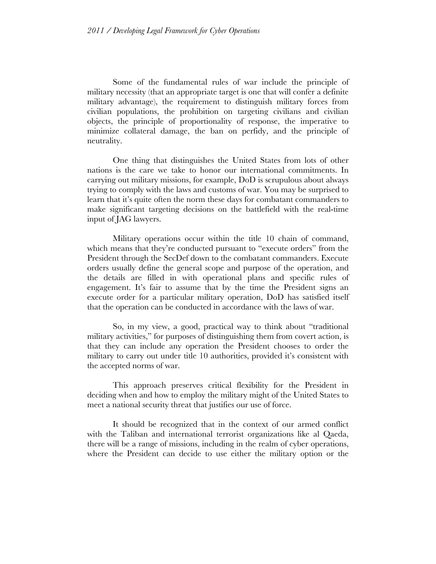Some of the fundamental rules of war include the principle of military necessity (that an appropriate target is one that will confer a definite military advantage), the requirement to distinguish military forces from civilian populations, the prohibition on targeting civilians and civilian objects, the principle of proportionality of response, the imperative to minimize collateral damage, the ban on perfidy, and the principle of neutrality.

One thing that distinguishes the United States from lots of other nations is the care we take to honor our international commitments. In carrying out military missions, for example, DoD is scrupulous about always trying to comply with the laws and customs of war. You may be surprised to learn that it's quite often the norm these days for combatant commanders to make significant targeting decisions on the battlefield with the real-time input of JAG lawyers.

Military operations occur within the title 10 chain of command, which means that they're conducted pursuant to "execute orders" from the President through the SecDef down to the combatant commanders. Execute orders usually define the general scope and purpose of the operation, and the details are filled in with operational plans and specific rules of engagement. It's fair to assume that by the time the President signs an execute order for a particular military operation, DoD has satisfied itself that the operation can be conducted in accordance with the laws of war.

So, in my view, a good, practical way to think about "traditional military activities," for purposes of distinguishing them from covert action, is that they can include any operation the President chooses to order the military to carry out under title 10 authorities, provided it's consistent with the accepted norms of war.

This approach preserves critical flexibility for the President in deciding when and how to employ the military might of the United States to meet a national security threat that justifies our use of force.

It should be recognized that in the context of our armed conflict with the Taliban and international terrorist organizations like al Qaeda, there will be a range of missions, including in the realm of cyber operations, where the President can decide to use either the military option or the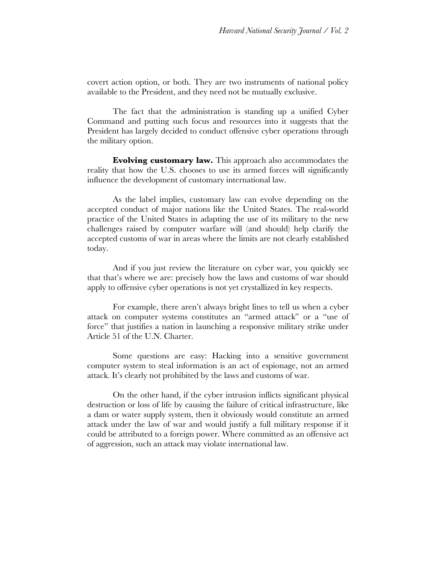covert action option, or both. They are two instruments of national policy available to the President, and they need not be mutually exclusive.

The fact that the administration is standing up a unified Cyber Command and putting such focus and resources into it suggests that the President has largely decided to conduct offensive cyber operations through the military option.

**Evolving customary law.** This approach also accommodates the reality that how the U.S. chooses to use its armed forces will significantly influence the development of customary international law.

As the label implies, customary law can evolve depending on the accepted conduct of major nations like the United States. The real-world practice of the United States in adapting the use of its military to the new challenges raised by computer warfare will (and should) help clarify the accepted customs of war in areas where the limits are not clearly established today.

And if you just review the literature on cyber war, you quickly see that that's where we are: precisely how the laws and customs of war should apply to offensive cyber operations is not yet crystallized in key respects.

For example, there aren't always bright lines to tell us when a cyber attack on computer systems constitutes an "armed attack" or a "use of force" that justifies a nation in launching a responsive military strike under Article 51 of the U.N. Charter.

Some questions are easy: Hacking into a sensitive government computer system to steal information is an act of espionage, not an armed attack. It's clearly not prohibited by the laws and customs of war.

On the other hand, if the cyber intrusion inflicts significant physical destruction or loss of life by causing the failure of critical infrastructure, like a dam or water supply system, then it obviously would constitute an armed attack under the law of war and would justify a full military response if it could be attributed to a foreign power. Where committed as an offensive act of aggression, such an attack may violate international law.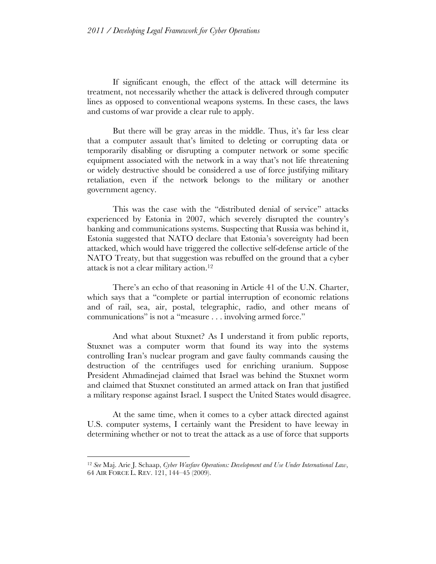If significant enough, the effect of the attack will determine its treatment, not necessarily whether the attack is delivered through computer lines as opposed to conventional weapons systems. In these cases, the laws and customs of war provide a clear rule to apply.

But there will be gray areas in the middle. Thus, it's far less clear that a computer assault that's limited to deleting or corrupting data or temporarily disabling or disrupting a computer network or some specific equipment associated with the network in a way that's not life threatening or widely destructive should be considered a use of force justifying military retaliation, even if the network belongs to the military or another government agency.

This was the case with the "distributed denial of service" attacks experienced by Estonia in 2007, which severely disrupted the country's banking and communications systems. Suspecting that Russia was behind it, Estonia suggested that NATO declare that Estonia's sovereignty had been attacked, which would have triggered the collective self-defense article of the NATO Treaty, but that suggestion was rebuffed on the ground that a cyber attack is not a clear military action.12

There's an echo of that reasoning in Article 41 of the U.N. Charter, which says that a "complete or partial interruption of economic relations and of rail, sea, air, postal, telegraphic, radio, and other means of communications" is not a "measure . . . involving armed force."

And what about Stuxnet? As I understand it from public reports, Stuxnet was a computer worm that found its way into the systems controlling Iran's nuclear program and gave faulty commands causing the destruction of the centrifuges used for enriching uranium. Suppose President Ahmadinejad claimed that Israel was behind the Stuxnet worm and claimed that Stuxnet constituted an armed attack on Iran that justified a military response against Israel. I suspect the United States would disagree.

At the same time, when it comes to a cyber attack directed against U.S. computer systems, I certainly want the President to have leeway in determining whether or not to treat the attack as a use of force that supports

<sup>12</sup> *See* Maj. Arie J. Schaap, *Cyber Warfare Operations: Development and Use Under International Law*, 64 AIR FORCE L. REV. 121, 144–45 (2009).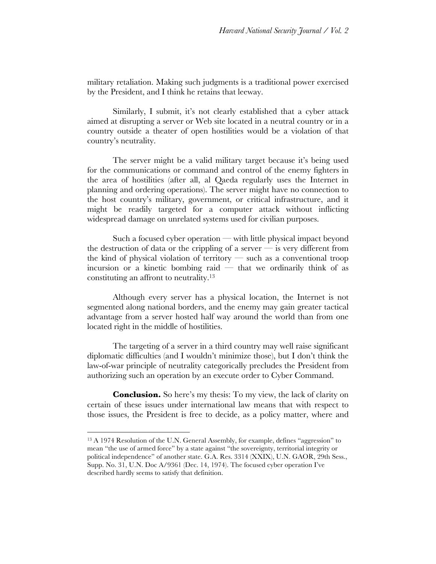military retaliation. Making such judgments is a traditional power exercised by the President, and I think he retains that leeway.

Similarly, I submit, it's not clearly established that a cyber attack aimed at disrupting a server or Web site located in a neutral country or in a country outside a theater of open hostilities would be a violation of that country's neutrality.

The server might be a valid military target because it's being used for the communications or command and control of the enemy fighters in the area of hostilities (after all, al Qaeda regularly uses the Internet in planning and ordering operations). The server might have no connection to the host country's military, government, or critical infrastructure, and it might be readily targeted for a computer attack without inflicting widespread damage on unrelated systems used for civilian purposes.

Such a focused cyber operation — with little physical impact beyond the destruction of data or the crippling of a server  $-$  is very different from the kind of physical violation of territory — such as a conventional troop incursion or a kinetic bombing raid  $-$  that we ordinarily think of as constituting an affront to neutrality.13

Although every server has a physical location, the Internet is not segmented along national borders, and the enemy may gain greater tactical advantage from a server hosted half way around the world than from one located right in the middle of hostilities.

The targeting of a server in a third country may well raise significant diplomatic difficulties (and I wouldn't minimize those), but I don't think the law-of-war principle of neutrality categorically precludes the President from authorizing such an operation by an execute order to Cyber Command.

**Conclusion.** So here's my thesis: To my view, the lack of clarity on certain of these issues under international law means that with respect to those issues, the President is free to decide, as a policy matter, where and

<sup>&</sup>lt;sup>13</sup> A 1974 Resolution of the U.N. General Assembly, for example, defines "aggression" to mean "the use of armed force" by a state against "the sovereignty, territorial integrity or political independence" of another state. G.A. Res. 3314 (XXIX), U.N. GAOR, 29th Sess., Supp. No. 31, U.N. Doc A/9361 (Dec. 14, 1974). The focused cyber operation I've described hardly seems to satisfy that definition.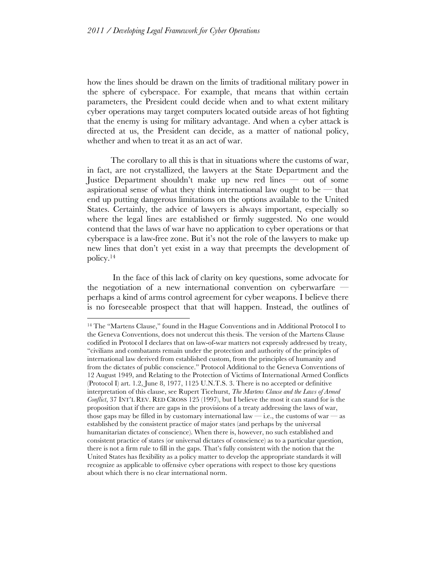how the lines should be drawn on the limits of traditional military power in the sphere of cyberspace. For example, that means that within certain parameters, the President could decide when and to what extent military cyber operations may target computers located outside areas of hot fighting that the enemy is using for military advantage. And when a cyber attack is directed at us, the President can decide, as a matter of national policy, whether and when to treat it as an act of war.

The corollary to all this is that in situations where the customs of war, in fact, are not crystallized, the lawyers at the State Department and the Justice Department shouldn't make up new red lines — out of some aspirational sense of what they think international law ought to be  $-$  that end up putting dangerous limitations on the options available to the United States. Certainly, the advice of lawyers is always important, especially so where the legal lines are established or firmly suggested. No one would contend that the laws of war have no application to cyber operations or that cyberspace is a law-free zone. But it's not the role of the lawyers to make up new lines that don't yet exist in a way that preempts the development of policy.14

In the face of this lack of clarity on key questions, some advocate for the negotiation of a new international convention on cyberwarfare perhaps a kind of arms control agreement for cyber weapons. I believe there is no foreseeable prospect that that will happen. Instead, the outlines of

<sup>14</sup> The "Martens Clause," found in the Hague Conventions and in Additional Protocol I to the Geneva Conventions, does not undercut this thesis. The version of the Martens Clause codified in Protocol I declares that on law-of-war matters not expressly addressed by treaty, "civilians and combatants remain under the protection and authority of the principles of international law derived from established custom, from the principles of humanity and from the dictates of public conscience." Protocol Additional to the Geneva Conventions of 12 August 1949, and Relating to the Protection of Victims of International Armed Conflicts (Protocol I) art. 1.2, June 8, 1977, 1125 U.N.T.S. 3. There is no accepted or definitive interpretation of this clause, see Rupert Ticehurst, *The Martens Clause and the Laws of Armed Conflict*, 37 INT'L REV. RED CROSS 125 (1997), but I believe the most it can stand for is the proposition that if there are gaps in the provisions of a treaty addressing the laws of war, those gaps may be filled in by customary international law  $-$  i.e., the customs of war  $-$  as established by the consistent practice of major states (and perhaps by the universal humanitarian dictates of conscience). When there is, however, no such established and consistent practice of states (or universal dictates of conscience) as to a particular question, there is not a firm rule to fill in the gaps. That's fully consistent with the notion that the United States has flexibility as a policy matter to develop the appropriate standards it will recognize as applicable to offensive cyber operations with respect to those key questions about which there is no clear international norm.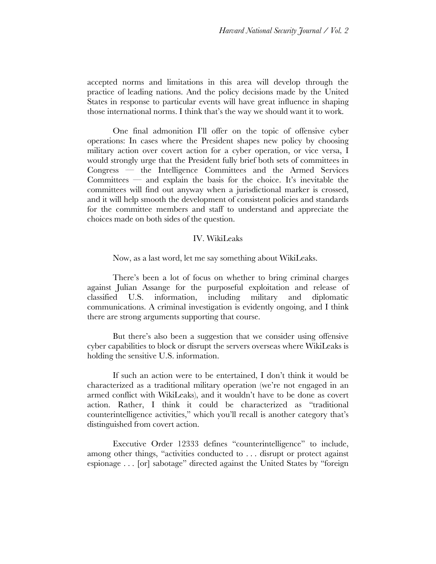accepted norms and limitations in this area will develop through the practice of leading nations. And the policy decisions made by the United States in response to particular events will have great influence in shaping those international norms. I think that's the way we should want it to work.

One final admonition I'll offer on the topic of offensive cyber operations: In cases where the President shapes new policy by choosing military action over covert action for a cyber operation, or vice versa, I would strongly urge that the President fully brief both sets of committees in Congress — the Intelligence Committees and the Armed Services Committees — and explain the basis for the choice. It's inevitable the committees will find out anyway when a jurisdictional marker is crossed, and it will help smooth the development of consistent policies and standards for the committee members and staff to understand and appreciate the choices made on both sides of the question.

#### IV. WikiLeaks

Now, as a last word, let me say something about WikiLeaks.

There's been a lot of focus on whether to bring criminal charges against Julian Assange for the purposeful exploitation and release of classified U.S. information, including military and diplomatic communications. A criminal investigation is evidently ongoing, and I think there are strong arguments supporting that course.

But there's also been a suggestion that we consider using offensive cyber capabilities to block or disrupt the servers overseas where WikiLeaks is holding the sensitive U.S. information.

If such an action were to be entertained, I don't think it would be characterized as a traditional military operation (we're not engaged in an armed conflict with WikiLeaks), and it wouldn't have to be done as covert action. Rather, I think it could be characterized as "traditional counterintelligence activities," which you'll recall is another category that's distinguished from covert action.

Executive Order 12333 defines "counterintelligence" to include, among other things, "activities conducted to . . . disrupt or protect against espionage . . . [or] sabotage" directed against the United States by "foreign